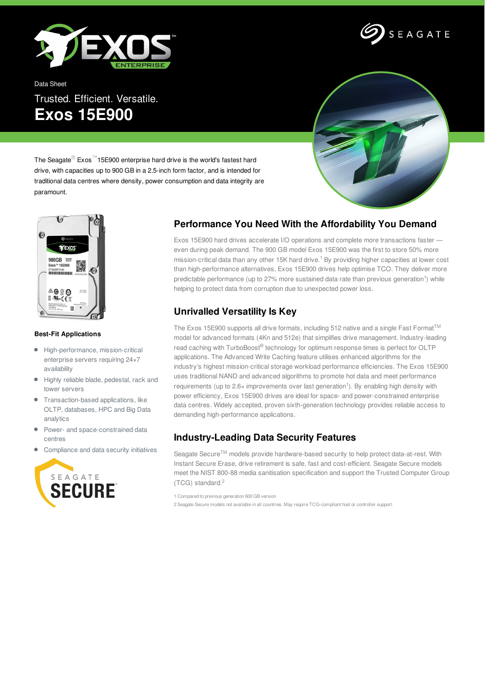

SEAGATE

Data Sheet Trusted. Efficient. Versatile. **Exos 15E900**



The Seagate® Exos™15E900 enterprise hard drive is the world's fastest hard drive, with capacities up to 900 GB in a 2.5-inch form factor, and is intended for traditional data centres where density, power consumption and data integrity are paramount.



### **Best-Fit Applications**

- High-performance, mission-critical  $\bullet$ enterprise servers requiring 24×7 availability
- Highly reliable blade, pedestal, rack and tower servers
- Transaction-based applications, like OLTP, databases, HPC and Big Data analytics
- Power- and space-constrained data  $\bullet$ centres
- Compliance and data security initiatives



## **Performance You Need With the Affordability You Demand**

Exos 15E900 hard drives accelerate I/O operations and complete more transactions faster even during peak demand. The 900 GB model Exos 15E900 was the first to store 50% more mission-critical data than any other 15K hard drive.<sup>1</sup> By providing higher capacities at lower cost than high-performance alternatives, Exos 15E900 drives help optimise TCO. They deliver more predictable performance (up to 27% more sustained data rate than previous generation<sup>1</sup>) while helping to protect data from corruption due to unexpected power loss.

# **Unrivalled Versatility Is Key**

The Exos 15E900 supports all drive formats, including 512 native and a single Fast Format<sup>TM</sup> model for advanced formats (4Kn and 512e) that simplifies drive management. Industry-leading read caching with TurboBoost® technology for optimum response times is perfect for OLTP applications. The Advanced Write Caching feature utilises enhanced algorithms for the industry's highest mission-critical storage workload performance efficiencies. The Exos 15E900 uses traditional NAND and advanced algorithms to promote hot data and meet performance requirements (up to 2.6× improvements over last generation<sup>1</sup>). By enabling high density with power efficiency, Exos 15E900 drives are ideal for space- and power-constrained enterprise data centres. Widely accepted, proven sixth-generation technology provides reliable access to demanding high-performance applications.

## **Industry-Leading Data Security Features**

Seagate Secure<sup>TM</sup> models provide hardware-based security to help protect data-at-rest. With Instant Secure Erase, drive retirement is safe, fast and cost-efficient. Seagate Secure models meet the NIST 800-88 media sanitisation specification and support the Trusted Computer Group (TCG) standard. 2

1 Compared to previous generation 600 GB version

2 Seagate Secure models not available in all countries. May require TCG-compliant host or controller support.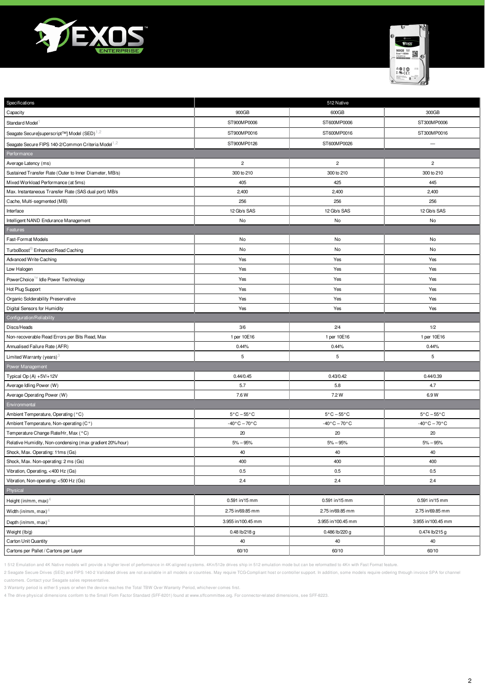



| Specifications                                                 | 512 Native                      |                                 |                                |
|----------------------------------------------------------------|---------------------------------|---------------------------------|--------------------------------|
| Capacity                                                       | 900GB                           | 600GB                           | 300GB                          |
| Standard Model <sup>1</sup>                                    | ST900MP0006                     | ST600MP0006                     | ST300MP0006                    |
| Seagate Secure[superscript™] Model (SED) <sup>1,2</sup>        | ST900MP0016                     | ST600MP0016                     | ST300MP0016                    |
| Seagate Secure FIPS 140-2/Common Criteria Model <sup>1,2</sup> | ST900MP0126                     | ST600MP0026                     | $\qquad \qquad -$              |
| Performance                                                    |                                 |                                 |                                |
| Average Latency (ms)                                           | $\overline{c}$                  | $\overline{c}$                  | $\overline{c}$                 |
| Sustained Transfer Rate (Outer to Inner Diameter, MB/s)        | 300 to 210                      | 300 to 210                      | 300 to 210                     |
| Mixed Workload Performance (at 5ms)                            | 405                             | 425                             | 445                            |
| Max. Instantaneous Transfer Rate (SAS dual port) MB/s          | 2,400                           | 2,400                           | 2,400                          |
| Cache, Multi-segmented (MB)                                    | 256                             | 256                             | 256                            |
| Interface                                                      | 12 Gb/s SAS                     | 12 Gb/s SAS                     | 12 Gb/s SAS                    |
| Intelligent NAND Endurance Management                          | No                              | No                              | No                             |
| Features                                                       |                                 |                                 |                                |
| Fast-Format Models                                             | No                              | No                              | No                             |
| TurboBoost <sup>®</sup> Enhanced Read Caching                  | No                              | No                              | No                             |
| Advanced Write Caching                                         | Yes                             | Yes                             | Yes                            |
| Low Halogen                                                    | Yes                             | Yes                             | Yes                            |
| PowerChoice <sup>166</sup> Idle Power Technology               | Yes                             | Yes                             | Yes                            |
| Hot Plug Support                                               | Yes                             | Yes                             | Yes                            |
| Organic Solderability Preservative                             | Yes                             | Yes                             | Yes                            |
| Digital Sensors for Humidity                                   | Yes                             | Yes                             | Yes                            |
| Configuration/Reliability                                      |                                 |                                 |                                |
| Discs/Heads                                                    | 3/6                             | 2/4                             | 1/2                            |
| Non-recoverable Read Errors per Bits Read, Max                 | 1 per 10E16                     | 1 per 10E16                     | 1 per 10E16                    |
| Annualised Failure Rate (AFR)                                  | 0.44%                           | 0.44%                           | 0.44%                          |
| Limited Warranty (years) <sup>3</sup>                          | $\sqrt{5}$                      | 5                               | 5                              |
| Power Management                                               |                                 |                                 |                                |
| Typical Op $(A) + 5V/ + 12V$                                   | 0.44/0.45                       | 0.43/0.42                       | 0.44/0.39                      |
| Average Idling Power (W)                                       | 5.7                             | 5.8                             | 4.7                            |
| Average Operating Power (W)                                    | 7.6 W                           | 7.2 W                           | 6.9W                           |
| Environmental                                                  |                                 |                                 |                                |
| Ambient Temperature, Operating (°C)                            | $5^{\circ}$ C $-55^{\circ}$ C   | $5^{\circ}$ C $-55^{\circ}$ C   | $5^{\circ}$ C – $55^{\circ}$ C |
| Ambient Temperature, Non-operating (C°)                        | $-40^{\circ}$ C $-70^{\circ}$ C | $-40\degree$ C - 70 $\degree$ C | $-40\degree$ C $-70\degree$ C  |
| Temperature Change Rate/Hr, Max (°C)                           | 20                              | 20                              | 20                             |
| Relative Humidity, Non-condensing (max gradient 20%/hour)      | $5% - 95%$                      | $5% - 95%$                      | $5% - 95%$                     |
| Shock, Max. Operating: 11ms (Gs)                               | 40                              | 40                              | 40                             |
| Shock, Max. Non-operating: 2 ms (Gs)                           | 400                             | 400                             | 400                            |
| Vibration, Operating, <400 Hz (Gs)                             | 0.5                             | 0.5                             | 0.5                            |
| Vibration, Non-operating: <500 Hz (Gs)                         | 2.4                             | 2.4                             | 2.4                            |
| Physical                                                       |                                 |                                 |                                |
| Height (in/mm, max) <sup>4</sup>                               | $0.591$ in/15 mm                | 0.591 in/15 mm                  | 0.591 in/15 mm                 |
| Width (in/mm, max) <sup>4</sup>                                | 2.75 in/69.85 mm                | 2.75 in/69.85 mm                | 2.75 in/69.85 mm               |
| Depth (in/mm, max) <sup>4</sup>                                | 3.955 in/100.45 mm              | 3.955 in/100.45 mm              | 3.955 in/100.45 mm             |
| Weight (lb/g)                                                  | 0.48 lb/218 g                   | 0.486 lb/220 g                  | 0.474 lb/215 g                 |
| Carton Unit Quantity                                           | 40                              | 40                              | 40                             |
| Cartons per Pallet / Cartons per Layer                         | 60/10                           | 60/10                           | 60/10                          |

1 512 Emulation and 4K Native models will provide a higher level of performance in 4K-aligned systems. 4Kn/512e drives ship in 512 emulation mode but can be reformatted to 4Kn with Fast Format feature.

2 Seagate Secure Drives (SED) and FIPS 140-2 Validated drives are not available in all models or countries. May require TCG-Compliant host or controller support. In addition, some models require ordering through invoice SP customers. Contact your Seagate sales representative.

3 Warranty period is either 5 years or when the device reaches the Total TBW Over Warranty Period, whichever comes first.

4 The drive physical dimensions conform to the Small Form Factor Standard (SFF-8201) found at www.sffcommittee.org. For connector-related dimensions, see SFF-8223.